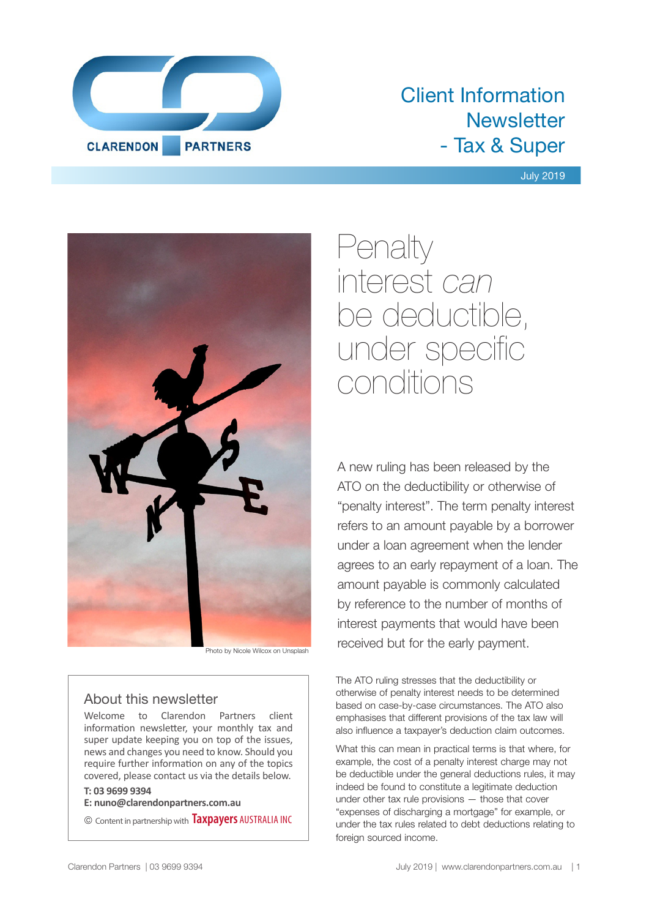

# Client Information **Newsletter** - Tax & Super

## July 2019



Photo by Nicole Wilcox on Unsplash

# About this newsletter

Welcome to Clarendon Partners client information newsletter, your monthly tax and super update keeping you on top of the issues, news and changes you need to know. Should you require further information on any of the topics covered, please contact us via the details below.

# **T: 03 9699 9394**

**E: nuno@clarendonpartners.com.au**

© Content in partnership with **Taxpayers** AUSTRALIA INC

Penalty interest *can* be deductible, under specific conditions

A new ruling has been released by the ATO on the deductibility or otherwise of "penalty interest". The term penalty interest refers to an amount payable by a borrower under a loan agreement when the lender agrees to an early repayment of a loan. The amount payable is commonly calculated by reference to the number of months of interest payments that would have been received but for the early payment.

The ATO ruling stresses that the deductibility or otherwise of penalty interest needs to be determined based on case-by-case circumstances. The ATO also emphasises that different provisions of the tax law will also influence a taxpayer's deduction claim outcomes.

What this can mean in practical terms is that where, for example, the cost of a penalty interest charge may not be deductible under the general deductions rules, it may indeed be found to constitute a legitimate deduction under other tax rule provisions — those that cover "expenses of discharging a mortgage" for example, or under the tax rules related to debt deductions relating to foreign sourced income.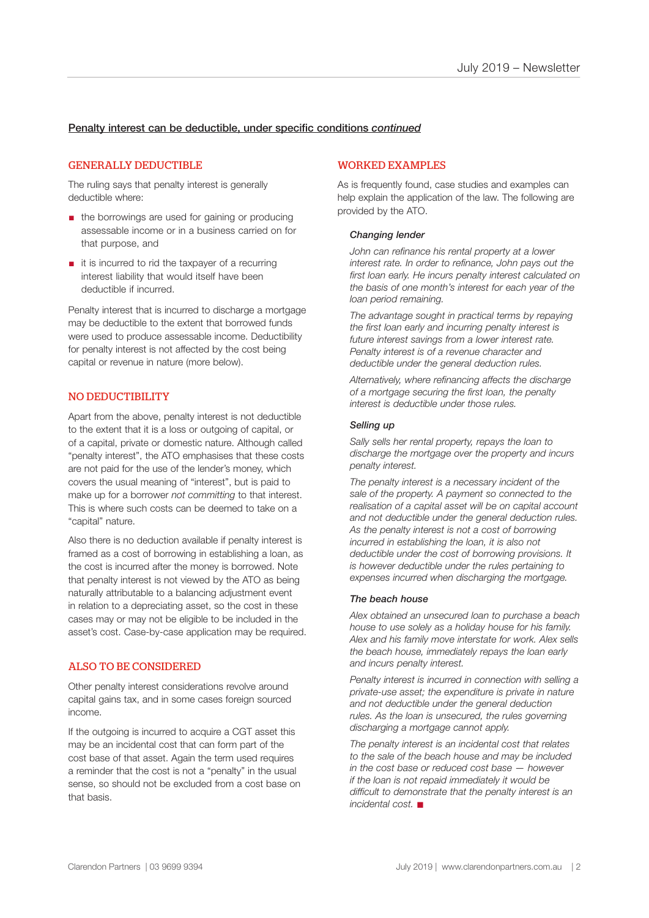# Penalty interest can be deductible, under specific conditions *continued*

#### GENERALLY DEDUCTIBLE

The ruling says that penalty interest is generally deductible where:

- the borrowings are used for gaining or producing assessable income or in a business carried on for that purpose, and
- it is incurred to rid the taxpayer of a recurring interest liability that would itself have been deductible if incurred.

Penalty interest that is incurred to discharge a mortgage may be deductible to the extent that borrowed funds were used to produce assessable income. Deductibility for penalty interest is not affected by the cost being capital or revenue in nature (more below).

#### NO DEDUCTIBILITY

Apart from the above, penalty interest is not deductible to the extent that it is a loss or outgoing of capital, or of a capital, private or domestic nature. Although called "penalty interest", the ATO emphasises that these costs are not paid for the use of the lender's money, which covers the usual meaning of "interest", but is paid to make up for a borrower *not committing* to that interest. This is where such costs can be deemed to take on a "capital" nature.

Also there is no deduction available if penalty interest is framed as a cost of borrowing in establishing a loan, as the cost is incurred after the money is borrowed. Note that penalty interest is not viewed by the ATO as being naturally attributable to a balancing adjustment event in relation to a depreciating asset, so the cost in these cases may or may not be eligible to be included in the asset's cost. Case-by-case application may be required.

## ALSO TO BE CONSIDERED

Other penalty interest considerations revolve around capital gains tax, and in some cases foreign sourced income.

If the outgoing is incurred to acquire a CGT asset this may be an incidental cost that can form part of the cost base of that asset. Again the term used requires a reminder that the cost is not a "penalty" in the usual sense, so should not be excluded from a cost base on that basis.

#### WORKED EXAMPLES

As is frequently found, case studies and examples can help explain the application of the law. The following are provided by the ATO.

#### *Changing lender*

*John can refinance his rental property at a lower interest rate. In order to refinance, John pays out the first loan early. He incurs penalty interest calculated on the basis of one month's interest for each year of the loan period remaining.*

*The advantage sought in practical terms by repaying the first loan early and incurring penalty interest is future interest savings from a lower interest rate. Penalty interest is of a revenue character and deductible under the general deduction rules.*

*Alternatively, where refinancing affects the discharge of a mortgage securing the first loan, the penalty interest is deductible under those rules.* 

#### *Selling up*

*Sally sells her rental property, repays the loan to discharge the mortgage over the property and incurs penalty interest.*

*The penalty interest is a necessary incident of the sale of the property. A payment so connected to the realisation of a capital asset will be on capital account and not deductible under the general deduction rules. As the penalty interest is not a cost of borrowing incurred in establishing the loan, it is also not deductible under the cost of borrowing provisions. It is however deductible under the rules pertaining to expenses incurred when discharging the mortgage.* 

#### *The beach house*

*Alex obtained an unsecured loan to purchase a beach house to use solely as a holiday house for his family. Alex and his family move interstate for work. Alex sells the beach house, immediately repays the loan early and incurs penalty interest.*

*Penalty interest is incurred in connection with selling a private-use asset; the expenditure is private in nature and not deductible under the general deduction rules. As the loan is unsecured, the rules governing discharging a mortgage cannot apply.*

*The penalty interest is an incidental cost that relates to the sale of the beach house and may be included in the cost base or reduced cost base — however if the loan is not repaid immediately it would be difficult to demonstrate that the penalty interest is an incidental cost.* ■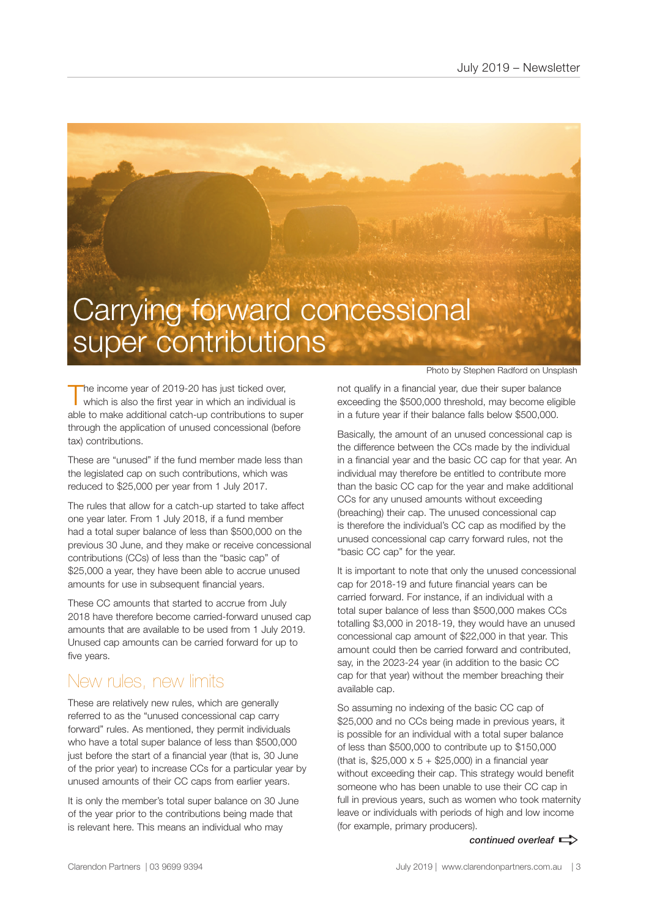# Carrying forward concessional super contributions

The income year of 2019-20 has just ticked over,<br>which is also the first year in which an individual is able to make additional catch-up contributions to super through the application of unused concessional (before tax) contributions.

These are "unused" if the fund member made less than the legislated cap on such contributions, which was reduced to \$25,000 per year from 1 July 2017.

The rules that allow for a catch-up started to take affect one year later. From 1 July 2018, if a fund member had a total super balance of less than \$500,000 on the previous 30 June, and they make or receive concessional contributions (CCs) of less than the "basic cap" of \$25,000 a year, they have been able to accrue unused amounts for use in subsequent financial years.

These CC amounts that started to accrue from July 2018 have therefore become carried-forward unused cap amounts that are available to be used from 1 July 2019. Unused cap amounts can be carried forward for up to five years.

# New rules, new limits

These are relatively new rules, which are generally referred to as the "unused concessional cap carry forward" rules. As mentioned, they permit individuals who have a total super balance of less than \$500,000 just before the start of a financial year (that is, 30 June of the prior year) to increase CCs for a particular year by unused amounts of their CC caps from earlier years.

It is only the member's total super balance on 30 June of the year prior to the contributions being made that is relevant here. This means an individual who may

Photo by Stephen Radford on Unsplash

not qualify in a financial year, due their super balance exceeding the \$500,000 threshold, may become eligible in a future year if their balance falls below \$500,000.

Basically, the amount of an unused concessional cap is the difference between the CCs made by the individual in a financial year and the basic CC cap for that year. An individual may therefore be entitled to contribute more than the basic CC cap for the year and make additional CCs for any unused amounts without exceeding (breaching) their cap. The unused concessional cap is therefore the individual's CC cap as modified by the unused concessional cap carry forward rules, not the "basic CC cap" for the year.

It is important to note that only the unused concessional cap for 2018-19 and future financial years can be carried forward. For instance, if an individual with a total super balance of less than \$500,000 makes CCs totalling \$3,000 in 2018-19, they would have an unused concessional cap amount of \$22,000 in that year. This amount could then be carried forward and contributed, say, in the 2023-24 year (in addition to the basic CC cap for that year) without the member breaching their available cap.

So assuming no indexing of the basic CC cap of \$25,000 and no CCs being made in previous years, it is possible for an individual with a total super balance of less than \$500,000 to contribute up to \$150,000 (that is,  $$25,000 \times 5 + $25,000$ ) in a financial year without exceeding their cap. This strategy would benefit someone who has been unable to use their CC cap in full in previous years, such as women who took maternity leave or individuals with periods of high and low income (for example, primary producers).

continued overleaf  $\Rightarrow$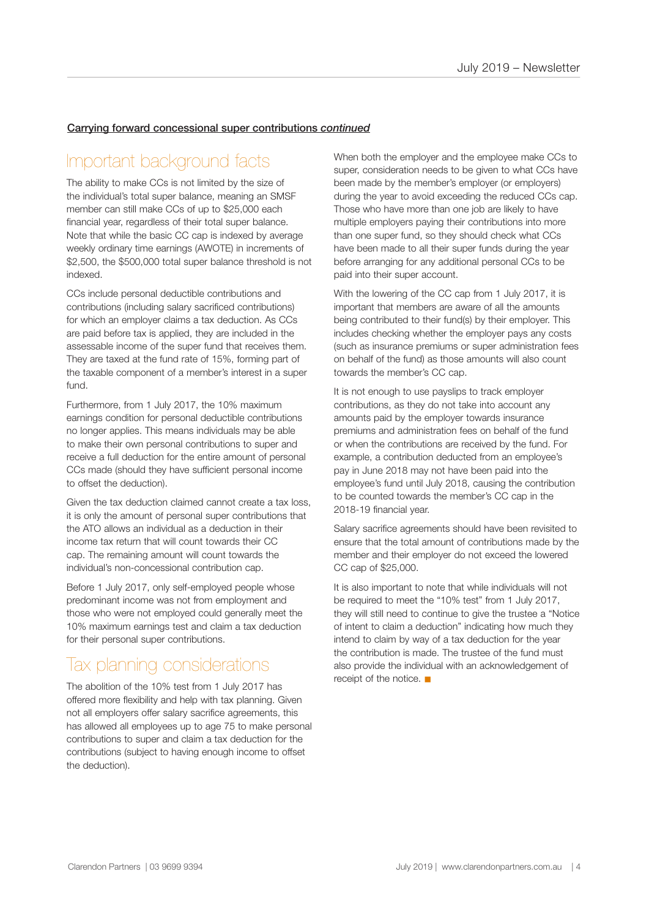# Carrying forward concessional super contributions *continued*

# Important background facts

The ability to make CCs is not limited by the size of the individual's total super balance, meaning an SMSF member can still make CCs of up to \$25,000 each financial year, regardless of their total super balance. Note that while the basic CC cap is indexed by average weekly ordinary time earnings (AWOTE) in increments of \$2,500, the \$500,000 total super balance threshold is not indexed.

CCs include personal deductible contributions and contributions (including salary sacrificed contributions) for which an employer claims a tax deduction. As CCs are paid before tax is applied, they are included in the assessable income of the super fund that receives them. They are taxed at the fund rate of 15%, forming part of the taxable component of a member's interest in a super fund.

Furthermore, from 1 July 2017, the 10% maximum earnings condition for personal deductible contributions no longer applies. This means individuals may be able to make their own personal contributions to super and receive a full deduction for the entire amount of personal CCs made (should they have sufficient personal income to offset the deduction).

Given the tax deduction claimed cannot create a tax loss, it is only the amount of personal super contributions that the ATO allows an individual as a deduction in their income tax return that will count towards their CC cap. The remaining amount will count towards the individual's non-concessional contribution cap.

Before 1 July 2017, only self-employed people whose predominant income was not from employment and those who were not employed could generally meet the 10% maximum earnings test and claim a tax deduction for their personal super contributions.

# Tax planning considerations

The abolition of the 10% test from 1 July 2017 has offered more flexibility and help with tax planning. Given not all employers offer salary sacrifice agreements, this has allowed all employees up to age 75 to make personal contributions to super and claim a tax deduction for the contributions (subject to having enough income to offset the deduction).

When both the employer and the employee make CCs to super, consideration needs to be given to what CCs have been made by the member's employer (or employers) during the year to avoid exceeding the reduced CCs cap. Those who have more than one job are likely to have multiple employers paying their contributions into more than one super fund, so they should check what CCs have been made to all their super funds during the year before arranging for any additional personal CCs to be paid into their super account.

With the lowering of the CC cap from 1 July 2017, it is important that members are aware of all the amounts being contributed to their fund(s) by their employer. This includes checking whether the employer pays any costs (such as insurance premiums or super administration fees on behalf of the fund) as those amounts will also count towards the member's CC cap.

It is not enough to use payslips to track employer contributions, as they do not take into account any amounts paid by the employer towards insurance premiums and administration fees on behalf of the fund or when the contributions are received by the fund. For example, a contribution deducted from an employee's pay in June 2018 may not have been paid into the employee's fund until July 2018, causing the contribution to be counted towards the member's CC cap in the 2018-19 financial year.

Salary sacrifice agreements should have been revisited to ensure that the total amount of contributions made by the member and their employer do not exceed the lowered CC cap of \$25,000.

It is also important to note that while individuals will not be required to meet the "10% test" from 1 July 2017, they will still need to continue to give the trustee a "Notice of intent to claim a deduction" indicating how much they intend to claim by way of a tax deduction for the year the contribution is made. The trustee of the fund must also provide the individual with an acknowledgement of receipt of the notice.  $\blacksquare$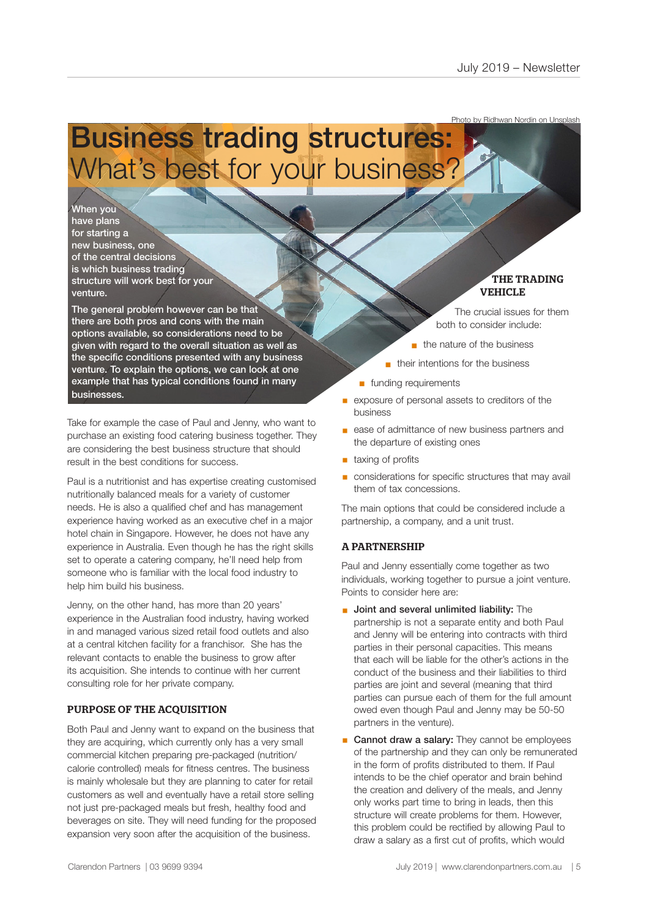Photo by Ridhwan Nordin on Unsplash

# Business trading structures: What's best for your business?

When you have plans for starting a new business, one of the central decisions is which business trading structure will work best for your venture.

The general problem however can be that there are both pros and cons with the main options available, so considerations need to be given with regard to the overall situation as well as the specific conditions presented with any business venture. To explain the options, we can look at one example that has typical conditions found in many businesses.

Take for example the case of Paul and Jenny, who want to purchase an existing food catering business together. They are considering the best business structure that should result in the best conditions for success.

Paul is a nutritionist and has expertise creating customised nutritionally balanced meals for a variety of customer needs. He is also a qualified chef and has management experience having worked as an executive chef in a major hotel chain in Singapore. However, he does not have any experience in Australia. Even though he has the right skills set to operate a catering company, he'll need help from someone who is familiar with the local food industry to help him build his business.

Jenny, on the other hand, has more than 20 years' experience in the Australian food industry, having worked in and managed various sized retail food outlets and also at a central kitchen facility for a franchisor. She has the relevant contacts to enable the business to grow after its acquisition. She intends to continue with her current consulting role for her private company.

# PURPOSE OF THE ACQUISITION

Both Paul and Jenny want to expand on the business that they are acquiring, which currently only has a very small commercial kitchen preparing pre-packaged (nutrition/ calorie controlled) meals for fitness centres. The business is mainly wholesale but they are planning to cater for retail customers as well and eventually have a retail store selling not just pre-packaged meals but fresh, healthy food and beverages on site. They will need funding for the proposed expansion very soon after the acquisition of the business.

THE TRADING VEHICLE

The crucial issues for them both to consider include:

- $n$  the nature of the business
- $\blacksquare$  their intentions for the business
- n funding requirements
- exposure of personal assets to creditors of the business
- ease of admittance of new business partners and the departure of existing ones
- taxing of profits
- § considerations for specific structures that may avail them of tax concessions.

The main options that could be considered include a partnership, a company, and a unit trust.

# A PARTNERSHIP

Paul and Jenny essentially come together as two individuals, working together to pursue a joint venture. Points to consider here are:

- Joint and several unlimited liability: The partnership is not a separate entity and both Paul and Jenny will be entering into contracts with third parties in their personal capacities. This means that each will be liable for the other's actions in the conduct of the business and their liabilities to third parties are joint and several (meaning that third parties can pursue each of them for the full amount owed even though Paul and Jenny may be 50-50 partners in the venture).
- Cannot draw a salary: They cannot be employees of the partnership and they can only be remunerated in the form of profits distributed to them. If Paul intends to be the chief operator and brain behind the creation and delivery of the meals, and Jenny only works part time to bring in leads, then this structure will create problems for them. However, this problem could be rectified by allowing Paul to draw a salary as a first cut of profits, which would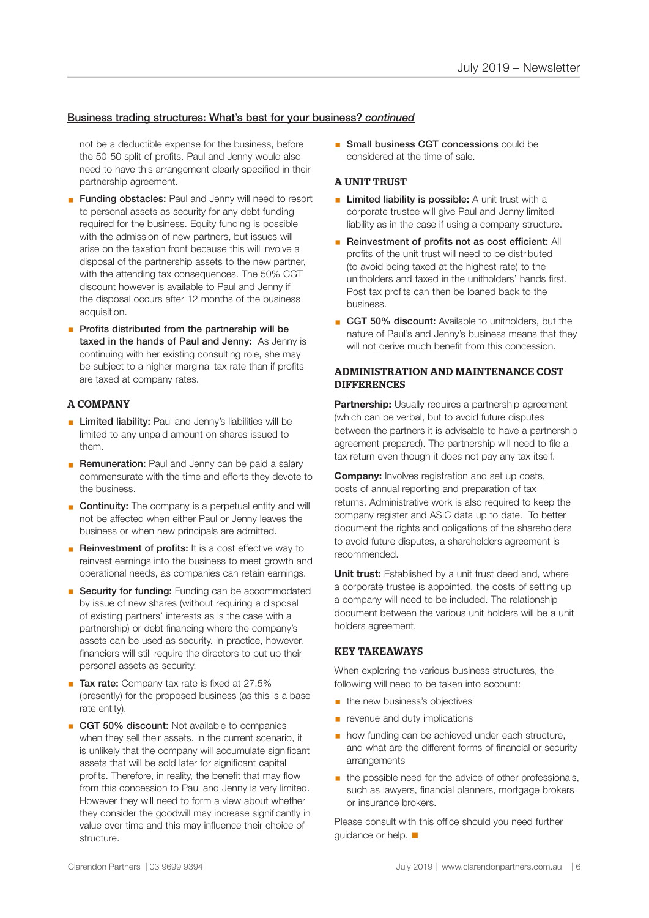## Business trading structures: What's best for your business? *continued*

not be a deductible expense for the business, before the 50-50 split of profits. Paul and Jenny would also need to have this arrangement clearly specified in their partnership agreement.

- **Example 3 Funding obstacles:** Paul and Jenny will need to resort to personal assets as security for any debt funding required for the business. Equity funding is possible with the admission of new partners, but issues will arise on the taxation front because this will involve a disposal of the partnership assets to the new partner, with the attending tax consequences. The 50% CGT discount however is available to Paul and Jenny if the disposal occurs after 12 months of the business acquisition.
- Profits distributed from the partnership will be taxed in the hands of Paul and Jenny: As Jenny is continuing with her existing consulting role, she may be subject to a higher marginal tax rate than if profits are taxed at company rates.

## A COMPANY

- **E** Limited liability: Paul and Jenny's liabilities will be limited to any unpaid amount on shares issued to them.
- **Remuneration:** Paul and Jenny can be paid a salary commensurate with the time and efforts they devote to the business.
- **Continuity:** The company is a perpetual entity and will not be affected when either Paul or Jenny leaves the business or when new principals are admitted.
- Reinvestment of profits: It is a cost effective way to reinvest earnings into the business to meet growth and operational needs, as companies can retain earnings.
- Security for funding: Funding can be accommodated by issue of new shares (without requiring a disposal of existing partners' interests as is the case with a partnership) or debt financing where the company's assets can be used as security. In practice, however, financiers will still require the directors to put up their personal assets as security.
- Tax rate: Company tax rate is fixed at 27.5% (presently) for the proposed business (as this is a base rate entity).
- CGT 50% discount: Not available to companies when they sell their assets. In the current scenario, it is unlikely that the company will accumulate significant assets that will be sold later for significant capital profits. Therefore, in reality, the benefit that may flow from this concession to Paul and Jenny is very limited. However they will need to form a view about whether they consider the goodwill may increase significantly in value over time and this may influence their choice of structure.

■ Small business CGT concessions could be considered at the time of sale.

## A UNIT TRUST

- **Example 2** Limited liability is possible: A unit trust with a corporate trustee will give Paul and Jenny limited liability as in the case if using a company structure.
- Reinvestment of profits not as cost efficient: All profits of the unit trust will need to be distributed (to avoid being taxed at the highest rate) to the unitholders and taxed in the unitholders' hands first. Post tax profits can then be loaned back to the business.
- CGT 50% discount: Available to unitholders, but the nature of Paul's and Jenny's business means that they will not derive much benefit from this concession.

### ADMINISTRATION AND MAINTENANCE COST **DIFFERENCES**

**Partnership:** Usually requires a partnership agreement (which can be verbal, but to avoid future disputes between the partners it is advisable to have a partnership agreement prepared). The partnership will need to file a tax return even though it does not pay any tax itself.

**Company:** Involves registration and set up costs, costs of annual reporting and preparation of tax returns. Administrative work is also required to keep the company register and ASIC data up to date. To better document the rights and obligations of the shareholders to avoid future disputes, a shareholders agreement is recommended.

**Unit trust:** Established by a unit trust deed and, where a corporate trustee is appointed, the costs of setting up a company will need to be included. The relationship document between the various unit holders will be a unit holders agreement.

#### KEY TAKEAWAYS

When exploring the various business structures, the following will need to be taken into account:

- **the new business's objectives**
- **•** revenue and duty implications
- **how funding can be achieved under each structure,** and what are the different forms of financial or security arrangements
- the possible need for the advice of other professionals, such as lawyers, financial planners, mortgage brokers or insurance brokers.

Please consult with this office should you need further guidance or help.  $\blacksquare$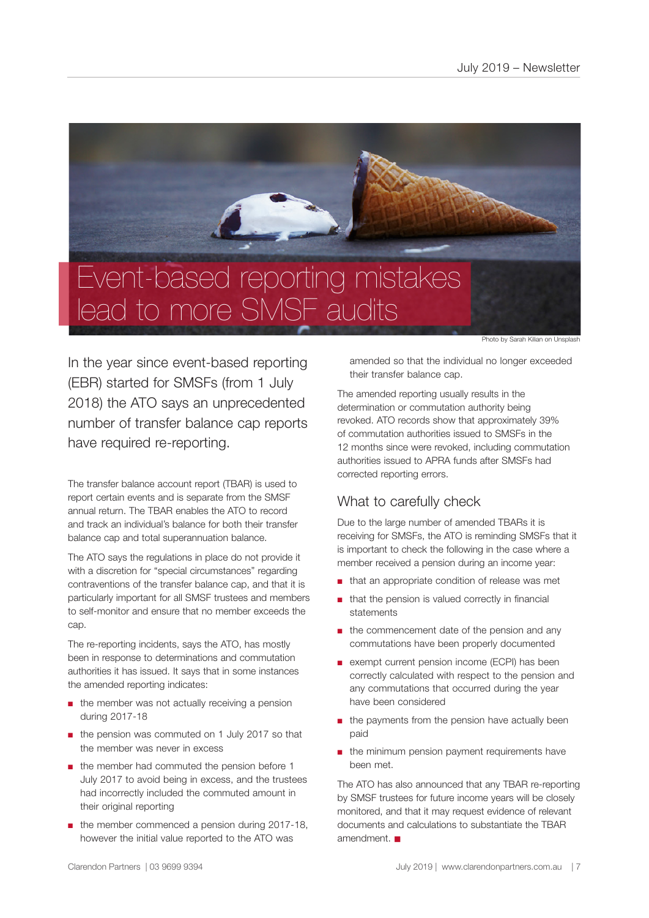

lead to more SMSF audits

Photo by Sarah Kilian on Unsplash

In the year since event-based reporting (EBR) started for SMSFs (from 1 July 2018) the ATO says an unprecedented number of transfer balance cap reports have required re-reporting.

The transfer balance account report (TBAR) is used to report certain events and is separate from the SMSF annual return. The TBAR enables the ATO to record and track an individual's balance for both their transfer balance cap and total superannuation balance.

The ATO says the regulations in place do not provide it with a discretion for "special circumstances" regarding contraventions of the transfer balance cap, and that it is particularly important for all SMSF trustees and members to self-monitor and ensure that no member exceeds the cap.

The re-reporting incidents, says the ATO, has mostly been in response to determinations and commutation authorities it has issued. It says that in some instances the amended reporting indicates:

- the member was not actually receiving a pension during 2017-18
- the pension was commuted on 1 July 2017 so that the member was never in excess
- the member had commuted the pension before 1 July 2017 to avoid being in excess, and the trustees had incorrectly included the commuted amount in their original reporting
- the member commenced a pension during 2017-18, however the initial value reported to the ATO was

amended so that the individual no longer exceeded their transfer balance cap.

The amended reporting usually results in the determination or commutation authority being revoked. ATO records show that approximately 39% of commutation authorities issued to SMSFs in the 12 months since were revoked, including commutation authorities issued to APRA funds after SMSFs had corrected reporting errors.

# What to carefully check

Due to the large number of amended TBARs it is receiving for SMSFs, the ATO is reminding SMSFs that it is important to check the following in the case where a member received a pension during an income year:

- that an appropriate condition of release was met
- that the pension is valued correctly in financial statements
- the commencement date of the pension and any commutations have been properly documented
- exempt current pension income (ECPI) has been correctly calculated with respect to the pension and any commutations that occurred during the year have been considered
- the payments from the pension have actually been paid
- the minimum pension payment requirements have been met.

The ATO has also announced that any TBAR re-reporting by SMSF trustees for future income years will be closely monitored, and that it may request evidence of relevant documents and calculations to substantiate the TBAR amendment.  $\blacksquare$